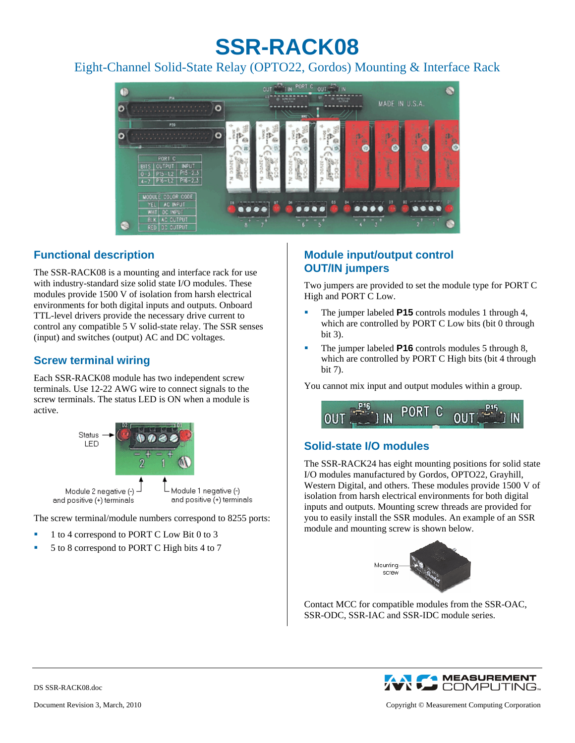# **SSR-RACK08**

Eight-Channel Solid-State Relay (OPTO22, Gordos) Mounting & Interface Rack



# **Functional description**

The SSR-RACK08 is a mounting and interface rack for use with industry-standard size solid state I/O modules. These modules provide 1500 V of isolation from harsh electrical environments for both digital inputs and outputs. Onboard TTL-level drivers provide the necessary drive current to control any compatible 5 V solid-state relay. The SSR senses (input) and switches (output) AC and DC voltages.

#### **Screw terminal wiring**

Each SSR-RACK08 module has two independent screw terminals. Use 12-22 AWG wire to connect signals to the screw terminals. The status LED is ON when a module is active.



The screw terminal/module numbers correspond to 8255 ports:

- 1 to 4 correspond to PORT C Low Bit 0 to 3
- 5 to 8 correspond to PORT C High bits 4 to 7

### **Module input/output control OUT/IN jumpers**

Two jumpers are provided to set the module type for PORT C High and PORT C Low.

- The jumper labeled **P15** controls modules 1 through 4, which are controlled by PORT C Low bits (bit 0 through bit 3).
- The jumper labeled **P16** controls modules 5 through 8, which are controlled by PORT C High bits (bit 4 through bit 7).

You cannot mix input and output modules within a group.



# **Solid-state I/O modules**

The SSR-RACK24 has eight mounting positions for solid state I/O modules manufactured by Gordos, OPTO22, Grayhill, Western Digital, and others. These modules provide 1500 V of isolation from harsh electrical environments for both digital inputs and outputs. Mounting screw threads are provided for you to easily install the SSR modules. An example of an SSR module and mounting screw is shown below.



Contact MCC for compatible modules from the SSR-OAC, SSR-ODC, SSR-IAC and SSR-IDC module series.



DS SSR-RACK08.doc